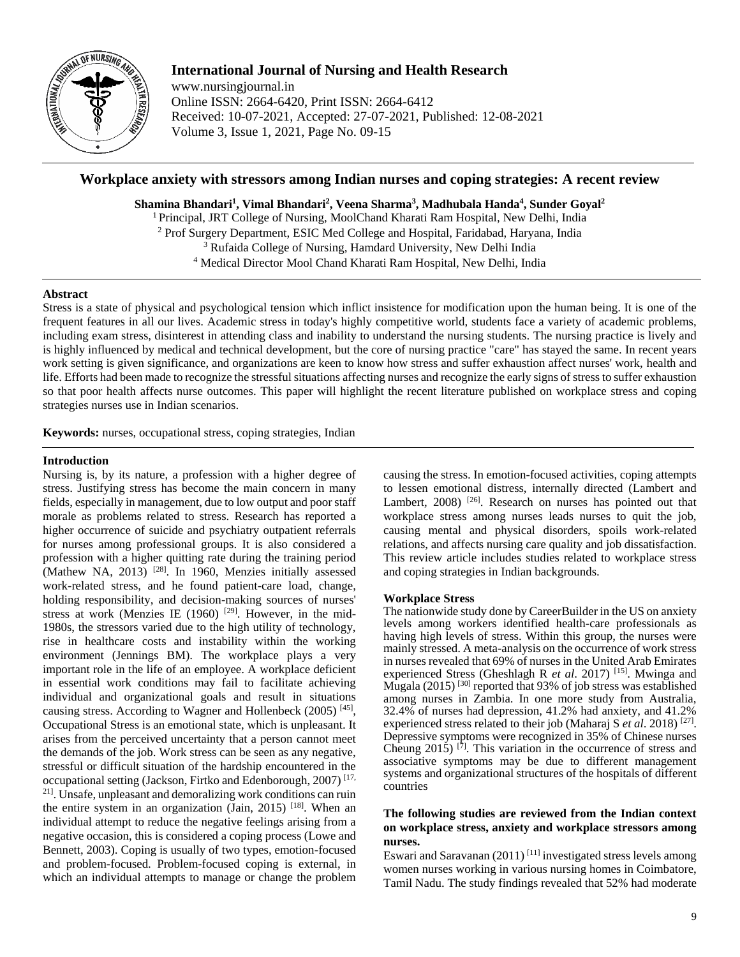

# **International Journal of Nursing and Health Research**

www.nursingjournal.in Online ISSN: 2664-6420, Print ISSN: 2664-6412 Received: 10-07-2021, Accepted: 27-07-2021, Published: 12-08-2021 Volume 3, Issue 1, 2021, Page No. 09-15

# **Workplace anxiety with stressors among Indian nurses and coping strategies: A recent review**

**Shamina Bhandari<sup>1</sup> , Vimal Bhandari<sup>2</sup> , Veena Sharma<sup>3</sup> , Madhubala Handa<sup>4</sup> , Sunder Goyal 2**

<sup>1</sup> Principal, JRT College of Nursing, MoolChand Kharati Ram Hospital, New Delhi, India

<sup>2</sup> Prof Surgery Department, ESIC Med College and Hospital, Faridabad, Haryana, India

<sup>3</sup> Rufaida College of Nursing, Hamdard University, New Delhi India

<sup>4</sup> Medical Director Mool Chand Kharati Ram Hospital, New Delhi, India

### **Abstract**

Stress is a state of physical and psychological tension which inflict insistence for modification upon the human being. It is one of the frequent features in all our lives. Academic stress in today's highly competitive world, students face a variety of academic problems, including exam stress, disinterest in attending class and inability to understand the nursing students. The nursing practice is lively and is highly influenced by medical and technical development, but the core of nursing practice "care" has stayed the same. In recent years work setting is given significance, and organizations are keen to know how stress and suffer exhaustion affect nurses' work, health and life. Efforts had been made to recognize the stressful situations affecting nurses and recognize the early signs of stress to suffer exhaustion so that poor health affects nurse outcomes. This paper will highlight the recent literature published on workplace stress and coping strategies nurses use in Indian scenarios.

**Keywords:** nurses, occupational stress, coping strategies, Indian

## **Introduction**

Nursing is, by its nature, a profession with a higher degree of stress. Justifying stress has become the main concern in many fields, especially in management, due to low output and poor staff morale as problems related to stress. Research has reported a higher occurrence of suicide and psychiatry outpatient referrals for nurses among professional groups. It is also considered a profession with a higher quitting rate during the training period (Mathew NA, 2013)<sup>[28]</sup>. In 1960, Menzies initially assessed work-related stress, and he found patient-care load, change, holding responsibility, and decision-making sources of nurses' stress at work (Menzies IE (1960)<sup>[29]</sup>. However, in the mid-1980s, the stressors varied due to the high utility of technology, rise in healthcare costs and instability within the working environment (Jennings BM). The workplace plays a very important role in the life of an employee. A workplace deficient in essential work conditions may fail to facilitate achieving individual and organizational goals and result in situations causing stress. According to Wagner and Hollenbeck (2005)<sup>[45]</sup>, Occupational Stress is an emotional state, which is unpleasant. It arises from the perceived uncertainty that a person cannot meet the demands of the job. Work stress can be seen as any negative, stressful or difficult situation of the hardship encountered in the occupational setting (Jackson, Firtko and Edenborough, 2007) [17, 21] . Unsafe, unpleasant and demoralizing work conditions can ruin the entire system in an organization (Jain, 2015)<sup>[18]</sup>. When an individual attempt to reduce the negative feelings arising from a negative occasion, this is considered a coping process (Lowe and Bennett, 2003). Coping is usually of two types, emotion-focused and problem-focused. Problem-focused coping is external, in which an individual attempts to manage or change the problem

causing the stress. In emotion-focused activities, coping attempts to lessen emotional distress, internally directed (Lambert and Lambert,  $2008$ )<sup>[26]</sup>. Research on nurses has pointed out that workplace stress among nurses leads nurses to quit the job, causing mental and physical disorders, spoils work-related relations, and affects nursing care quality and job dissatisfaction. This review article includes studies related to workplace stress and coping strategies in Indian backgrounds.

## **Workplace Stress**

The nationwide study done by CareerBuilder in the US on anxiety levels among workers identified health-care professionals as having high levels of stress. Within this group, the nurses were mainly stressed. A meta-analysis on the occurrence of work stress in nurses revealed that 69% of nurses in the United Arab Emirates experienced Stress (Gheshlagh R et al. 2017)<sup>[15]</sup>. Mwinga and Mugala (2015)<sup>[30]</sup> reported that 93% of job stress was established among nurses in Zambia. In one more study from Australia, 32.4% of nurses had depression, 41.2% had anxiety, and 41.2% experienced stress related to their job (Maharaj S *et al.* 2018)<sup>[27]</sup>. Depressive symptoms were recognized in 35% of Chinese nurses Cheung  $2015$ ) <sup>[7]</sup>. This variation in the occurrence of stress and associative symptoms may be due to different management systems and organizational structures of the hospitals of different countries

## **The following studies are reviewed from the Indian context on workplace stress, anxiety and workplace stressors among nurses.**

Eswari and Saravanan  $(2011)^{[11]}$  investigated stress levels among women nurses working in various nursing homes in Coimbatore, Tamil Nadu. The study findings revealed that 52% had moderate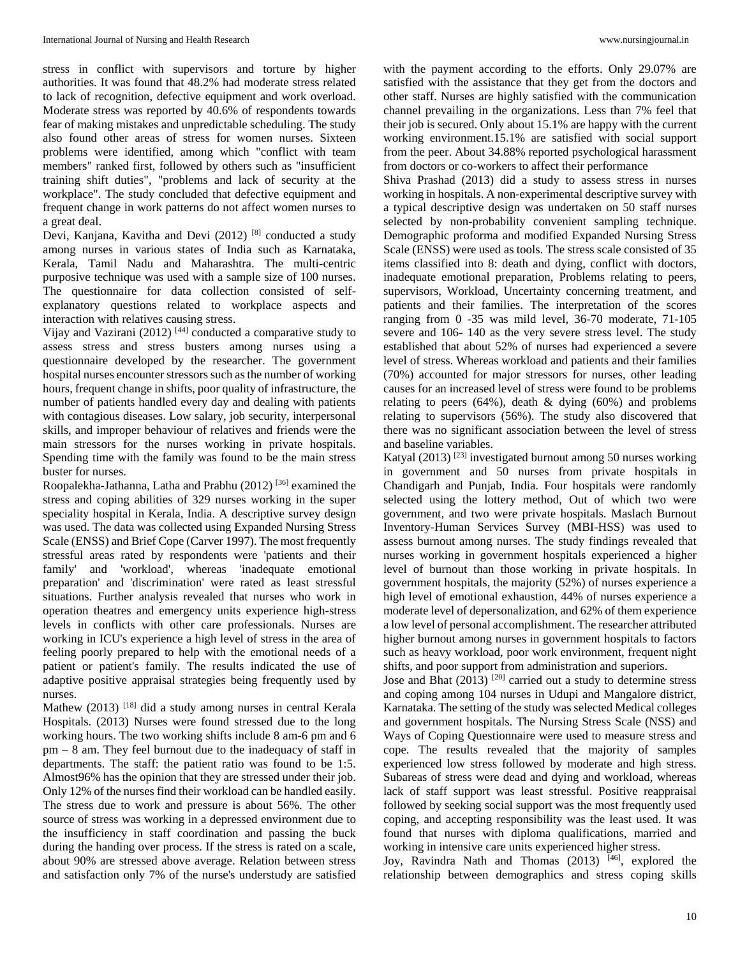stress in conflict with supervisors and torture by higher authorities. It was found that 48.2% had moderate stress related to lack of recognition, defective equipment and work overload. Moderate stress was reported by 40.6% of respondents towards fear of making mistakes and unpredictable scheduling. The study also found other areas of stress for women nurses. Sixteen problems were identified, among which "conflict with team members" ranked first, followed by others such as "insufficient training shift duties", "problems and lack of security at the workplace". The study concluded that defective equipment and frequent change in work patterns do not affect women nurses to a great deal.

Devi, Kanjana, Kavitha and Devi (2012)<sup>[8]</sup> conducted a study among nurses in various states of India such as Karnataka, Kerala, Tamil Nadu and Maharashtra. The multi-centric purposive technique was used with a sample size of 100 nurses. The questionnaire for data collection consisted of selfexplanatory questions related to workplace aspects and interaction with relatives causing stress.

Vijay and Vazirani (2012)<sup>[44]</sup> conducted a comparative study to assess stress and stress busters among nurses using a questionnaire developed by the researcher. The government hospital nurses encounter stressors such as the number of working hours, frequent change in shifts, poor quality of infrastructure, the number of patients handled every day and dealing with patients with contagious diseases. Low salary, job security, interpersonal skills, and improper behaviour of relatives and friends were the main stressors for the nurses working in private hospitals. Spending time with the family was found to be the main stress buster for nurses.

Roopalekha-Jathanna, Latha and Prabhu (2012)<sup>[36]</sup> examined the stress and coping abilities of 329 nurses working in the super speciality hospital in Kerala, India. A descriptive survey design was used. The data was collected using Expanded Nursing Stress Scale (ENSS) and Brief Cope (Carver 1997). The most frequently stressful areas rated by respondents were 'patients and their family' and 'workload', whereas 'inadequate emotional preparation' and 'discrimination' were rated as least stressful situations. Further analysis revealed that nurses who work in operation theatres and emergency units experience high-stress levels in conflicts with other care professionals. Nurses are working in ICU's experience a high level of stress in the area of feeling poorly prepared to help with the emotional needs of a patient or patient's family. The results indicated the use of adaptive positive appraisal strategies being frequently used by nurses.

Mathew (2013) <sup>[18]</sup> did a study among nurses in central Kerala Hospitals. (2013) Nurses were found stressed due to the long working hours. The two working shifts include 8 am-6 pm and 6 pm – 8 am. They feel burnout due to the inadequacy of staff in departments. The staff: the patient ratio was found to be 1:5. Almost96% has the opinion that they are stressed under their job. Only 12% of the nurses find their workload can be handled easily. The stress due to work and pressure is about 56%. The other source of stress was working in a depressed environment due to the insufficiency in staff coordination and passing the buck during the handing over process. If the stress is rated on a scale, about 90% are stressed above average. Relation between stress and satisfaction only 7% of the nurse's understudy are satisfied

with the payment according to the efforts. Only 29.07% are satisfied with the assistance that they get from the doctors and other staff. Nurses are highly satisfied with the communication channel prevailing in the organizations. Less than 7% feel that their job is secured. Only about 15.1% are happy with the current working environment.15.1% are satisfied with social support from the peer. About 34.88% reported psychological harassment from doctors or co-workers to affect their performance

Shiva Prashad (2013) did a study to assess stress in nurses working in hospitals. A non-experimental descriptive survey with a typical descriptive design was undertaken on 50 staff nurses selected by non-probability convenient sampling technique. Demographic proforma and modified Expanded Nursing Stress Scale (ENSS) were used as tools. The stress scale consisted of 35 items classified into 8: death and dying, conflict with doctors, inadequate emotional preparation, Problems relating to peers, supervisors, Workload, Uncertainty concerning treatment, and patients and their families. The interpretation of the scores ranging from 0 -35 was mild level, 36-70 moderate, 71-105 severe and 106- 140 as the very severe stress level. The study established that about 52% of nurses had experienced a severe level of stress. Whereas workload and patients and their families (70%) accounted for major stressors for nurses, other leading causes for an increased level of stress were found to be problems relating to peers  $(64%)$ , death & dying  $(60%)$  and problems relating to supervisors (56%). The study also discovered that there was no significant association between the level of stress and baseline variables.

Katyal (2013)<sup>[23]</sup> investigated burnout among 50 nurses working in government and 50 nurses from private hospitals in Chandigarh and Punjab, India. Four hospitals were randomly selected using the lottery method, Out of which two were government, and two were private hospitals. Maslach Burnout Inventory-Human Services Survey (MBI-HSS) was used to assess burnout among nurses. The study findings revealed that nurses working in government hospitals experienced a higher level of burnout than those working in private hospitals. In government hospitals, the majority (52%) of nurses experience a high level of emotional exhaustion, 44% of nurses experience a moderate level of depersonalization, and 62% of them experience a low level of personal accomplishment. The researcher attributed higher burnout among nurses in government hospitals to factors such as heavy workload, poor work environment, frequent night shifts, and poor support from administration and superiors.

Jose and Bhat (2013)<sup>[20]</sup> carried out a study to determine stress and coping among 104 nurses in Udupi and Mangalore district, Karnataka. The setting of the study was selected Medical colleges and government hospitals. The Nursing Stress Scale (NSS) and Ways of Coping Questionnaire were used to measure stress and cope. The results revealed that the majority of samples experienced low stress followed by moderate and high stress. Subareas of stress were dead and dying and workload, whereas lack of staff support was least stressful. Positive reappraisal followed by seeking social support was the most frequently used coping, and accepting responsibility was the least used. It was found that nurses with diploma qualifications, married and working in intensive care units experienced higher stress.

Joy, Ravindra Nath and Thomas (2013) [46], explored the relationship between demographics and stress coping skills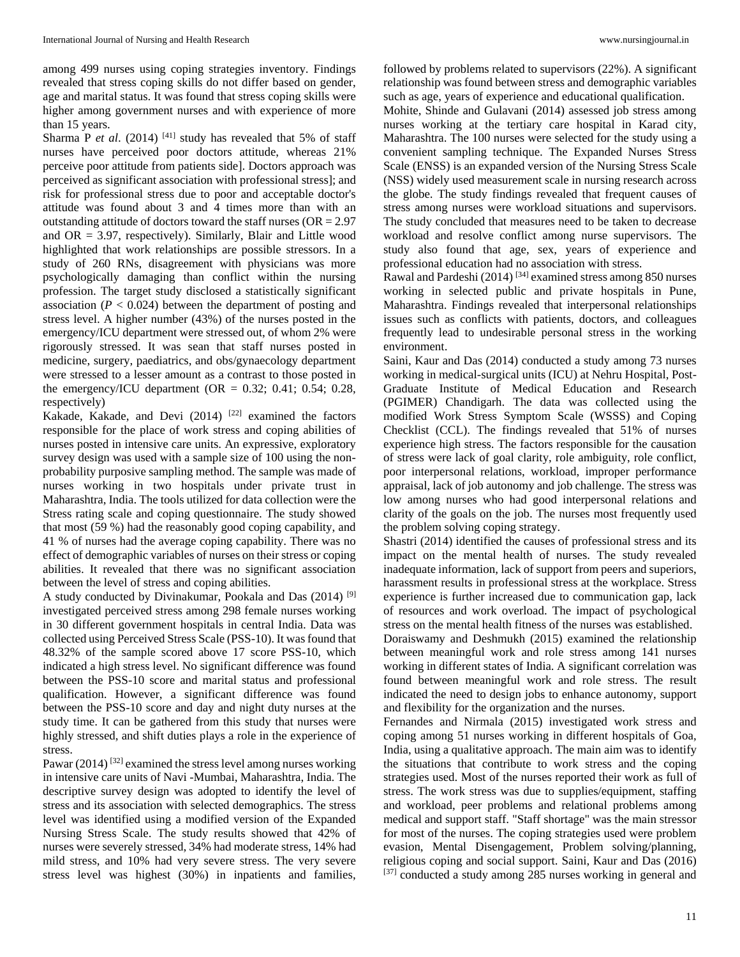among 499 nurses using coping strategies inventory. Findings revealed that stress coping skills do not differ based on gender, age and marital status. It was found that stress coping skills were higher among government nurses and with experience of more than 15 years.

Sharma P *et al.* (2014)<sup>[41]</sup> study has revealed that 5% of staff nurses have perceived poor doctors attitude, whereas 21% perceive poor attitude from patients side]. Doctors approach was perceived as significant association with professional stress]; and risk for professional stress due to poor and acceptable doctor's attitude was found about 3 and 4 times more than with an outstanding attitude of doctors toward the staff nurses ( $OR = 2.97$ ) and  $OR = 3.97$ , respectively). Similarly, Blair and Little wood highlighted that work relationships are possible stressors. In a study of 260 RNs, disagreement with physicians was more psychologically damaging than conflict within the nursing profession. The target study disclosed a statistically significant association  $(P < 0.024)$  between the department of posting and stress level. A higher number (43%) of the nurses posted in the emergency/ICU department were stressed out, of whom 2% were rigorously stressed. It was sean that staff nurses posted in medicine, surgery, paediatrics, and obs/gynaecology department were stressed to a lesser amount as a contrast to those posted in the emergency/ICU department (OR =  $0.32$ ; 0.41; 0.54; 0.28, respectively)

Kakade, Kakade, and Devi  $(2014)$ <sup>[22]</sup> examined the factors responsible for the place of work stress and coping abilities of nurses posted in intensive care units. An expressive, exploratory survey design was used with a sample size of 100 using the nonprobability purposive sampling method. The sample was made of nurses working in two hospitals under private trust in Maharashtra, India. The tools utilized for data collection were the Stress rating scale and coping questionnaire. The study showed that most (59 %) had the reasonably good coping capability, and 41 % of nurses had the average coping capability. There was no effect of demographic variables of nurses on their stress or coping abilities. It revealed that there was no significant association between the level of stress and coping abilities.

A study conducted by Divinakumar, Pookala and Das (2014) [9] investigated perceived stress among 298 female nurses working in 30 different government hospitals in central India. Data was collected using Perceived Stress Scale (PSS-10). It was found that 48.32% of the sample scored above 17 score PSS-10, which indicated a high stress level. No significant difference was found between the PSS-10 score and marital status and professional qualification. However, a significant difference was found between the PSS-10 score and day and night duty nurses at the study time. It can be gathered from this study that nurses were highly stressed, and shift duties plays a role in the experience of stress.

Pawar (2014)<sup>[32]</sup> examined the stress level among nurses working in intensive care units of Navi -Mumbai, Maharashtra, India. The descriptive survey design was adopted to identify the level of stress and its association with selected demographics. The stress level was identified using a modified version of the Expanded Nursing Stress Scale. The study results showed that 42% of nurses were severely stressed, 34% had moderate stress, 14% had mild stress, and 10% had very severe stress. The very severe stress level was highest (30%) in inpatients and families,

followed by problems related to supervisors (22%). A significant relationship was found between stress and demographic variables such as age, years of experience and educational qualification.

Mohite, Shinde and Gulavani (2014) assessed job stress among nurses working at the tertiary care hospital in Karad city, Maharashtra. The 100 nurses were selected for the study using a convenient sampling technique. The Expanded Nurses Stress Scale (ENSS) is an expanded version of the Nursing Stress Scale (NSS) widely used measurement scale in nursing research across the globe. The study findings revealed that frequent causes of stress among nurses were workload situations and supervisors. The study concluded that measures need to be taken to decrease workload and resolve conflict among nurse supervisors. The study also found that age, sex, years of experience and professional education had no association with stress.

Rawal and Pardeshi (2014)<sup>[34]</sup> examined stress among 850 nurses working in selected public and private hospitals in Pune, Maharashtra. Findings revealed that interpersonal relationships issues such as conflicts with patients, doctors, and colleagues frequently lead to undesirable personal stress in the working environment.

Saini, Kaur and Das (2014) conducted a study among 73 nurses working in medical-surgical units (ICU) at Nehru Hospital, Post-Graduate Institute of Medical Education and Research (PGIMER) Chandigarh. The data was collected using the modified Work Stress Symptom Scale (WSSS) and Coping Checklist (CCL). The findings revealed that 51% of nurses experience high stress. The factors responsible for the causation of stress were lack of goal clarity, role ambiguity, role conflict, poor interpersonal relations, workload, improper performance appraisal, lack of job autonomy and job challenge. The stress was low among nurses who had good interpersonal relations and clarity of the goals on the job. The nurses most frequently used the problem solving coping strategy.

Shastri (2014) identified the causes of professional stress and its impact on the mental health of nurses. The study revealed inadequate information, lack of support from peers and superiors, harassment results in professional stress at the workplace. Stress experience is further increased due to communication gap, lack of resources and work overload. The impact of psychological stress on the mental health fitness of the nurses was established.

Doraiswamy and Deshmukh (2015) examined the relationship between meaningful work and role stress among 141 nurses working in different states of India. A significant correlation was found between meaningful work and role stress. The result indicated the need to design jobs to enhance autonomy, support and flexibility for the organization and the nurses.

Fernandes and Nirmala (2015) investigated work stress and coping among 51 nurses working in different hospitals of Goa, India, using a qualitative approach. The main aim was to identify the situations that contribute to work stress and the coping strategies used. Most of the nurses reported their work as full of stress. The work stress was due to supplies/equipment, staffing and workload, peer problems and relational problems among medical and support staff. "Staff shortage" was the main stressor for most of the nurses. The coping strategies used were problem evasion, Mental Disengagement, Problem solving/planning, religious coping and social support. Saini, Kaur and Das (2016) [37] conducted a study among 285 nurses working in general and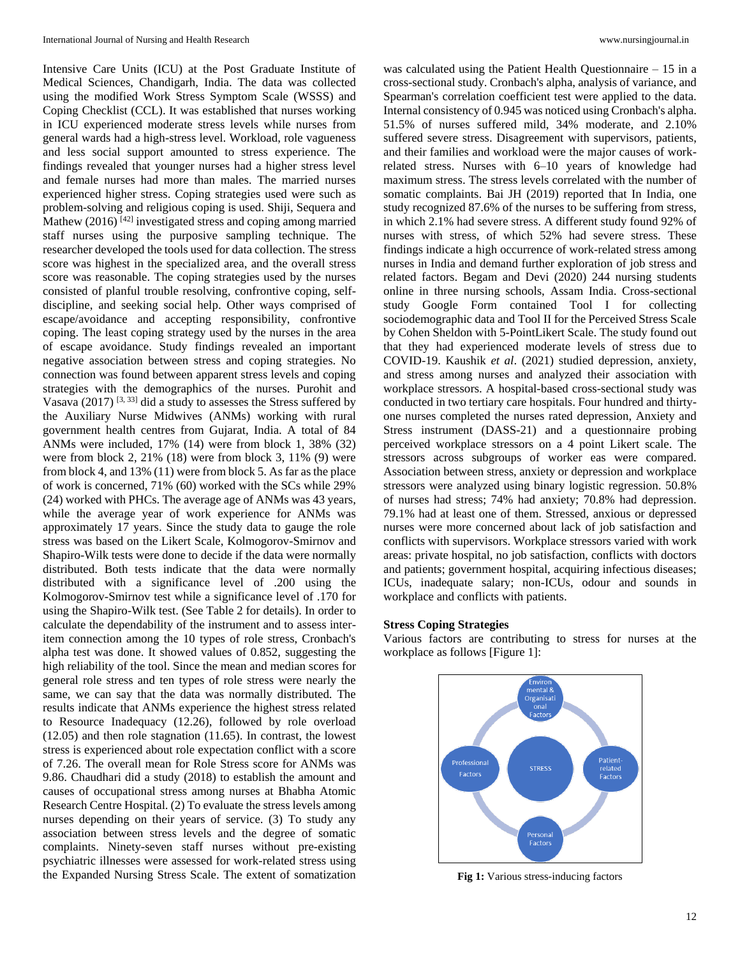Intensive Care Units (ICU) at the Post Graduate Institute of Medical Sciences, Chandigarh, India. The data was collected using the modified Work Stress Symptom Scale (WSSS) and Coping Checklist (CCL). It was established that nurses working in ICU experienced moderate stress levels while nurses from general wards had a high-stress level. Workload, role vagueness and less social support amounted to stress experience. The findings revealed that younger nurses had a higher stress level and female nurses had more than males. The married nurses experienced higher stress. Coping strategies used were such as problem-solving and religious coping is used. Shiji, Sequera and Mathew (2016)<sup>[42]</sup> investigated stress and coping among married staff nurses using the purposive sampling technique. The researcher developed the tools used for data collection. The stress score was highest in the specialized area, and the overall stress score was reasonable. The coping strategies used by the nurses consisted of planful trouble resolving, confrontive coping, selfdiscipline, and seeking social help. Other ways comprised of escape/avoidance and accepting responsibility, confrontive coping. The least coping strategy used by the nurses in the area of escape avoidance. Study findings revealed an important negative association between stress and coping strategies. No connection was found between apparent stress levels and coping strategies with the demographics of the nurses. Purohit and Vasava (2017)  $[3, 33]$  did a study to assesses the Stress suffered by the Auxiliary Nurse Midwives (ANMs) working with rural government health centres from Gujarat, India. A total of 84 ANMs were included, 17% (14) were from block 1, 38% (32) were from block 2, 21% (18) were from block 3, 11% (9) were from block 4, and 13% (11) were from block 5. As far as the place of work is concerned, 71% (60) worked with the SCs while 29% (24) worked with PHCs. The average age of ANMs was 43 years, while the average year of work experience for ANMs was approximately 17 years. Since the study data to gauge the role stress was based on the Likert Scale, Kolmogorov-Smirnov and Shapiro-Wilk tests were done to decide if the data were normally distributed. Both tests indicate that the data were normally distributed with a significance level of .200 using the Kolmogorov-Smirnov test while a significance level of .170 for using the Shapiro-Wilk test. (See Table 2 for details). In order to calculate the dependability of the instrument and to assess interitem connection among the 10 types of role stress, Cronbach's alpha test was done. It showed values of 0.852, suggesting the high reliability of the tool. Since the mean and median scores for general role stress and ten types of role stress were nearly the same, we can say that the data was normally distributed. The results indicate that ANMs experience the highest stress related to Resource Inadequacy (12.26), followed by role overload (12.05) and then role stagnation (11.65). In contrast, the lowest stress is experienced about role expectation conflict with a score of 7.26. The overall mean for Role Stress score for ANMs was 9.86. Chaudhari did a study (2018) to establish the amount and causes of occupational stress among nurses at Bhabha Atomic Research Centre Hospital. (2) To evaluate the stress levels among nurses depending on their years of service. (3) To study any association between stress levels and the degree of somatic complaints. Ninety-seven staff nurses without pre-existing psychiatric illnesses were assessed for work-related stress using the Expanded Nursing Stress Scale. The extent of somatization

was calculated using the Patient Health Questionnaire – 15 in a cross-sectional study. Cronbach's alpha, analysis of variance, and Spearman's correlation coefficient test were applied to the data. Internal consistency of 0.945 was noticed using Cronbach's alpha. 51.5% of nurses suffered mild, 34% moderate, and 2.10% suffered severe stress. Disagreement with supervisors, patients, and their families and workload were the major causes of workrelated stress. Nurses with 6–10 years of knowledge had maximum stress. The stress levels correlated with the number of somatic complaints. Bai JH (2019) reported that In India, one study recognized 87.6% of the nurses to be suffering from stress, in which 2.1% had severe stress. A different study found 92% of nurses with stress, of which 52% had severe stress. These findings indicate a high occurrence of work-related stress among nurses in India and demand further exploration of job stress and related factors. Begam and Devi (2020) 244 nursing students online in three nursing schools, Assam India. Cross-sectional study Google Form contained Tool I for collecting sociodemographic data and Tool II for the Perceived Stress Scale by Cohen Sheldon with 5-PointLikert Scale. The study found out that they had experienced moderate levels of stress due to COVID-19. Kaushik *et al*. (2021) studied depression, anxiety, and stress among nurses and analyzed their association with workplace stressors. A hospital-based cross-sectional study was conducted in two tertiary care hospitals. Four hundred and thirtyone nurses completed the nurses rated depression, Anxiety and Stress instrument (DASS-21) and a questionnaire probing perceived workplace stressors on a 4 point Likert scale. The stressors across subgroups of worker eas were compared. Association between stress, anxiety or depression and workplace stressors were analyzed using binary logistic regression. 50.8% of nurses had stress; 74% had anxiety; 70.8% had depression. 79.1% had at least one of them. Stressed, anxious or depressed nurses were more concerned about lack of job satisfaction and conflicts with supervisors. Workplace stressors varied with work areas: private hospital, no job satisfaction, conflicts with doctors and patients; government hospital, acquiring infectious diseases; ICUs, inadequate salary; non-ICUs, odour and sounds in workplace and conflicts with patients.

## **Stress Coping Strategies**

Various factors are contributing to stress for nurses at the workplace as follows [Figure 1]:



**Fig 1:** Various stress-inducing factors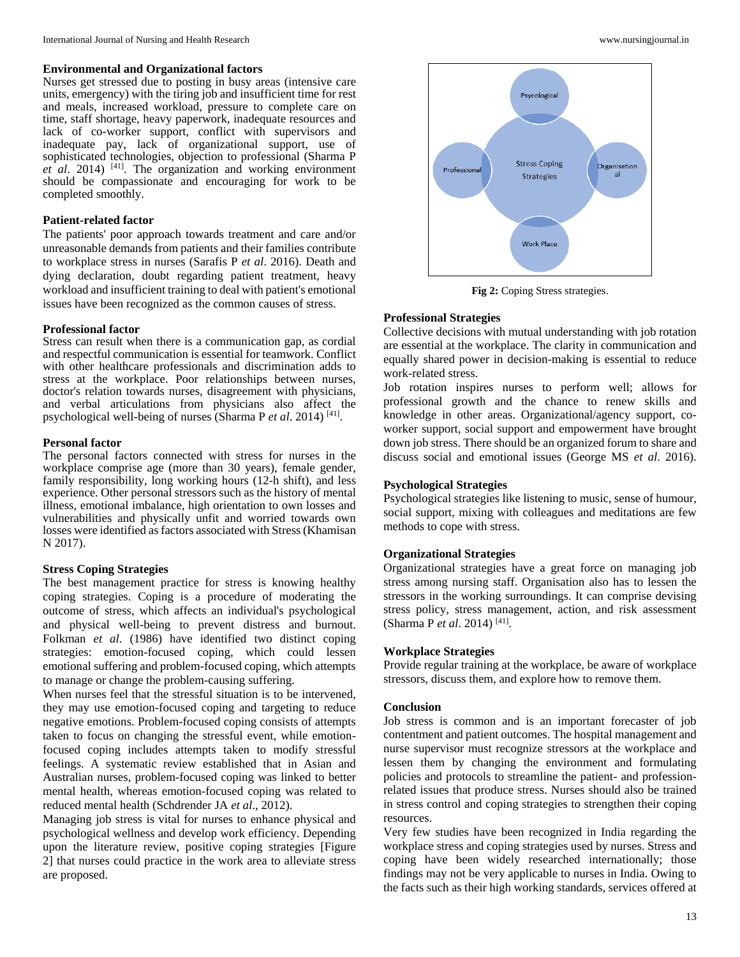#### **Environmental and Organizational factors**

Nurses get stressed due to posting in busy areas (intensive care units, emergency) with the tiring job and insufficient time for rest and meals, increased workload, pressure to complete care on time, staff shortage, heavy paperwork, inadequate resources and lack of co-worker support, conflict with supervisors and inadequate pay, lack of organizational support, use of sophisticated technologies, objection to professional (Sharma P *et al*. 2014) [41] . The organization and working environment should be compassionate and encouraging for work to be completed smoothly.

## **Patient-related factor**

The patients' poor approach towards treatment and care and/or unreasonable demands from patients and their families contribute to workplace stress in nurses (Sarafis P *et al*. 2016). Death and dying declaration, doubt regarding patient treatment, heavy workload and insufficient training to deal with patient's emotional issues have been recognized as the common causes of stress.

#### **Professional factor**

Stress can result when there is a communication gap, as cordial and respectful communication is essential for teamwork. Conflict with other healthcare professionals and discrimination adds to stress at the workplace. Poor relationships between nurses, doctor's relation towards nurses, disagreement with physicians, and verbal articulations from physicians also affect the psychological well-being of nurses (Sharma P *et al*. 2014) [41] .

#### **Personal factor**

The personal factors connected with stress for nurses in the workplace comprise age (more than 30 years), female gender, family responsibility, long working hours (12-h shift), and less experience. Other personal stressors such as the history of mental illness, emotional imbalance, high orientation to own losses and vulnerabilities and physically unfit and worried towards own losses were identified as factors associated with Stress (Khamisan N 2017).

#### **Stress Coping Strategies**

The best management practice for stress is knowing healthy coping strategies. Coping is a procedure of moderating the outcome of stress, which affects an individual's psychological and physical well-being to prevent distress and burnout. Folkman *et al*. (1986) have identified two distinct coping strategies: emotion-focused coping, which could lessen emotional suffering and problem-focused coping, which attempts to manage or change the problem-causing suffering.

When nurses feel that the stressful situation is to be intervened, they may use emotion-focused coping and targeting to reduce negative emotions. Problem-focused coping consists of attempts taken to focus on changing the stressful event, while emotionfocused coping includes attempts taken to modify stressful feelings. A systematic review established that in Asian and Australian nurses, problem-focused coping was linked to better mental health, whereas emotion-focused coping was related to reduced mental health (Schdrender JA *et al*., 2012).

Managing job stress is vital for nurses to enhance physical and psychological wellness and develop work efficiency. Depending upon the literature review, positive coping strategies [Figure 2] that nurses could practice in the work area to alleviate stress are proposed.



**Fig 2:** Coping Stress strategies.

### **Professional Strategies**

Collective decisions with mutual understanding with job rotation are essential at the workplace. The clarity in communication and equally shared power in decision-making is essential to reduce work-related stress.

Job rotation inspires nurses to perform well; allows for professional growth and the chance to renew skills and knowledge in other areas. Organizational/agency support, coworker support, social support and empowerment have brought down job stress. There should be an organized forum to share and discuss social and emotional issues (George MS *et al*. 2016).

### **Psychological Strategies**

Psychological strategies like listening to music, sense of humour, social support, mixing with colleagues and meditations are few methods to cope with stress.

#### **Organizational Strategies**

Organizational strategies have a great force on managing job stress among nursing staff. Organisation also has to lessen the stressors in the working surroundings. It can comprise devising stress policy, stress management, action, and risk assessment (Sharma P *et al*. 2014) [41] .

### **Workplace Strategies**

Provide regular training at the workplace, be aware of workplace stressors, discuss them, and explore how to remove them.

#### **Conclusion**

Job stress is common and is an important forecaster of job contentment and patient outcomes. The hospital management and nurse supervisor must recognize stressors at the workplace and lessen them by changing the environment and formulating policies and protocols to streamline the patient- and professionrelated issues that produce stress. Nurses should also be trained in stress control and coping strategies to strengthen their coping resources.

Very few studies have been recognized in India regarding the workplace stress and coping strategies used by nurses. Stress and coping have been widely researched internationally; those findings may not be very applicable to nurses in India. Owing to the facts such as their high working standards, services offered at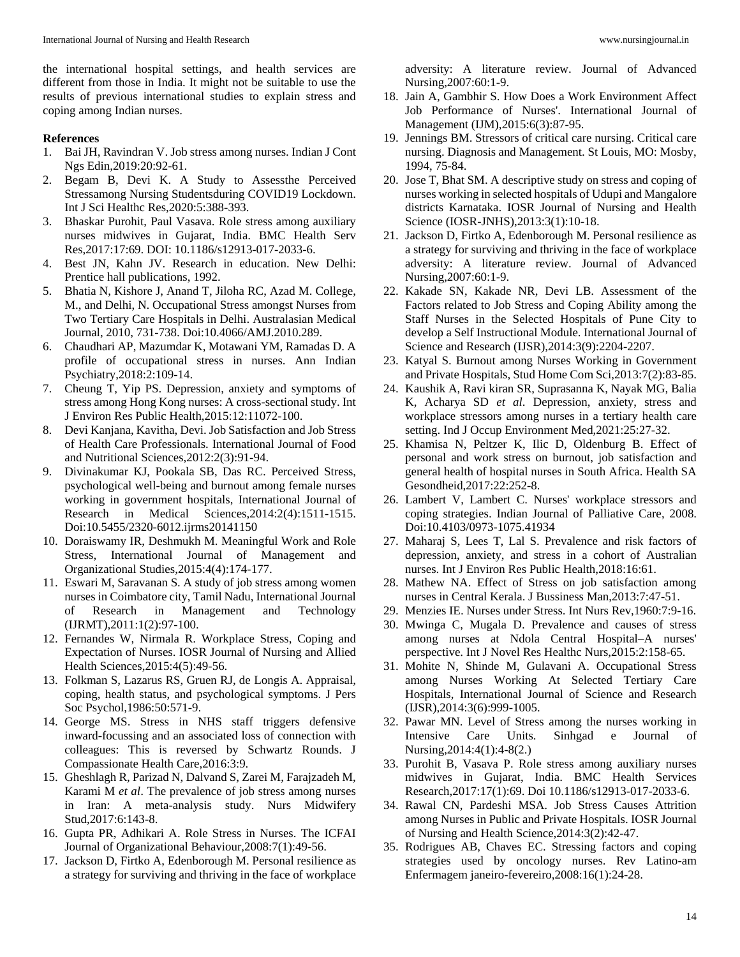the international hospital settings, and health services are different from those in India. It might not be suitable to use the results of previous international studies to explain stress and coping among Indian nurses.

## **References**

- 1. Bai JH, Ravindran V. Job stress among nurses. Indian J Cont Ngs Edin,2019:20:92-61.
- 2. Begam B, Devi K. A Study to Assessthe Perceived Stressamong Nursing Studentsduring COVID19 Lockdown. Int J Sci Healthc Res,2020:5:388-393.
- 3. Bhaskar Purohit, Paul Vasava. Role stress among auxiliary nurses midwives in Gujarat, India. BMC Health Serv Res,2017:17:69. DOI: 10.1186/s12913-017-2033-6.
- 4. Best JN, Kahn JV. Research in education. New Delhi: Prentice hall publications, 1992.
- 5. Bhatia N, Kishore J, Anand T, Jiloha RC, Azad M. College, M., and Delhi, N. Occupational Stress amongst Nurses from Two Tertiary Care Hospitals in Delhi. Australasian Medical Journal, 2010, 731-738. Doi:10.4066/AMJ.2010.289.
- 6. Chaudhari AP, Mazumdar K, Motawani YM, Ramadas D. A profile of occupational stress in nurses. Ann Indian Psychiatry,2018:2:109-14.
- 7. Cheung T, Yip PS. Depression, anxiety and symptoms of stress among Hong Kong nurses: A cross-sectional study. Int J Environ Res Public Health,2015:12:11072-100.
- 8. Devi Kanjana, Kavitha, Devi. Job Satisfaction and Job Stress of Health Care Professionals. International Journal of Food and Nutritional Sciences,2012:2(3):91-94.
- 9. Divinakumar KJ, Pookala SB, Das RC. Perceived Stress, psychological well-being and burnout among female nurses working in government hospitals, International Journal of Research in Medical Sciences,2014:2(4):1511-1515. Doi:10.5455/2320-6012.ijrms20141150
- 10. Doraiswamy IR, Deshmukh M. Meaningful Work and Role Stress, International Journal of Management and Organizational Studies,2015:4(4):174-177.
- 11. Eswari M, Saravanan S. A study of job stress among women nurses in Coimbatore city, Tamil Nadu, International Journal of Research in Management and Technology (IJRMT),2011:1(2):97-100.
- 12. Fernandes W, Nirmala R. Workplace Stress, Coping and Expectation of Nurses. IOSR Journal of Nursing and Allied Health Sciences,2015:4(5):49-56.
- 13. Folkman S, Lazarus RS, Gruen RJ, de Longis A. Appraisal, coping, health status, and psychological symptoms. J Pers Soc Psychol,1986:50:571-9.
- 14. George MS. Stress in NHS staff triggers defensive inward-focussing and an associated loss of connection with colleagues: This is reversed by Schwartz Rounds. J Compassionate Health Care,2016:3:9.
- 15. Gheshlagh R, Parizad N, Dalvand S, Zarei M, Farajzadeh M, Karami M *et al*. The prevalence of job stress among nurses in Iran: A meta-analysis study. Nurs Midwifery Stud,2017:6:143-8.
- 16. Gupta PR, Adhikari A. Role Stress in Nurses. The ICFAI Journal of Organizational Behaviour,2008:7(1):49-56.
- 17. Jackson D, Firtko A, Edenborough M. Personal resilience as a strategy for surviving and thriving in the face of workplace

adversity: A literature review. Journal of Advanced Nursing,2007:60:1-9.

- 18. Jain A, Gambhir S. How Does a Work Environment Affect Job Performance of Nurses'. International Journal of Management (IJM),2015:6(3):87-95.
- 19. Jennings BM. Stressors of critical care nursing. Critical care nursing. Diagnosis and Management. St Louis, MO: Mosby, 1994, 75-84.
- 20. Jose T, Bhat SM. A descriptive study on stress and coping of nurses working in selected hospitals of Udupi and Mangalore districts Karnataka. IOSR Journal of Nursing and Health Science (IOSR-JNHS),2013:3(1):10-18.
- 21. Jackson D, Firtko A, Edenborough M. Personal resilience as a strategy for surviving and thriving in the face of workplace adversity: A literature review. Journal of Advanced Nursing,2007:60:1-9.
- 22. Kakade SN, Kakade NR, Devi LB. Assessment of the Factors related to Job Stress and Coping Ability among the Staff Nurses in the Selected Hospitals of Pune City to develop a Self Instructional Module. International Journal of Science and Research (IJSR),2014:3(9):2204-2207.
- 23. Katyal S. Burnout among Nurses Working in Government and Private Hospitals, Stud Home Com Sci,2013:7(2):83-85.
- 24. Kaushik A, Ravi kiran SR, Suprasanna K, Nayak MG, Balia K, Acharya SD *et al*. Depression, anxiety, stress and workplace stressors among nurses in a tertiary health care setting. Ind J Occup Environment Med,2021:25:27-32.
- 25. Khamisa N, Peltzer K, Ilic D, Oldenburg B. Effect of personal and work stress on burnout, job satisfaction and general health of hospital nurses in South Africa. Health SA Gesondheid,2017:22:252-8.
- 26. Lambert V, Lambert C. Nurses' workplace stressors and coping strategies. Indian Journal of Palliative Care, 2008. Doi:10.4103/0973-1075.41934
- 27. Maharaj S, Lees T, Lal S. Prevalence and risk factors of depression, anxiety, and stress in a cohort of Australian nurses. Int J Environ Res Public Health,2018:16:61.
- 28. Mathew NA. Effect of Stress on job satisfaction among nurses in Central Kerala. J Bussiness Man,2013:7:47-51.
- 29. Menzies IE. Nurses under Stress. Int Nurs Rev,1960:7:9-16.
- 30. Mwinga C, Mugala D. Prevalence and causes of stress among nurses at Ndola Central Hospital–A nurses' perspective. Int J Novel Res Healthc Nurs,2015:2:158-65.
- 31. Mohite N, Shinde M, Gulavani A. Occupational Stress among Nurses Working At Selected Tertiary Care Hospitals, International Journal of Science and Research (IJSR),2014:3(6):999-1005.
- 32. Pawar MN. Level of Stress among the nurses working in Intensive Care Units. Sinhgad e Journal of Nursing,2014:4(1):4-8(2.)
- 33. Purohit B, Vasava P. Role stress among auxiliary nurses midwives in Gujarat, India. BMC Health Services Research,2017:17(1):69. Doi 10.1186/s12913-017-2033-6.
- 34. Rawal CN, Pardeshi MSA. Job Stress Causes Attrition among Nurses in Public and Private Hospitals. IOSR Journal of Nursing and Health Science,2014:3(2):42-47.
- 35. Rodrigues AB, Chaves EC. Stressing factors and coping strategies used by oncology nurses. Rev Latino-am Enfermagem janeiro-fevereiro,2008:16(1):24-28.